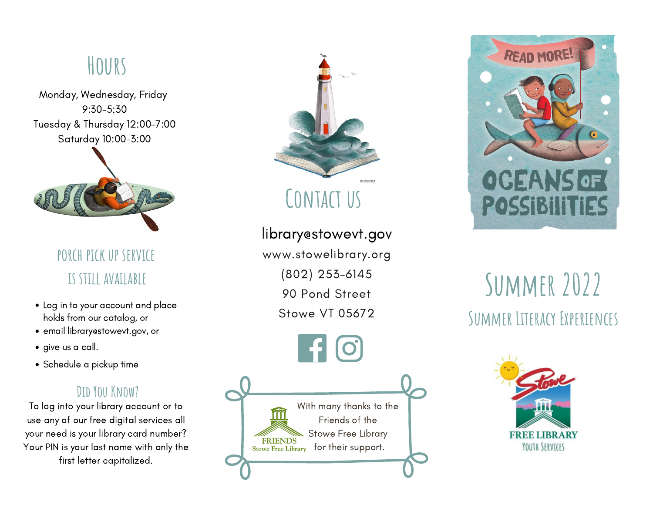## **Hours**

Monday, Wednesday, Friday 9:30-5:30 Tuesday & Thursday 12:00-7:00 Saturday 10:00-3:00



**porch pick up service is still available**

- Log in to your account and place holds from our catalog, or
- email library@stowevt.gov, or
- give us a call.
- Schedule a pickup time

#### **Did You Know?**

To log into your library account or to use any of our free digital services all your need is your library card number? Your PIN is your last name with only the first letter capitalized.



**Contact us**

library@stowevt.gov www.stowelibrary.org (802) 253-6145 90 Pond Street Stowe VT 05672

With many thanks to the Friends of the Stowe Free Library **FRIENDS** Stowe Free Library for their support.



# **Summer 2022 Summer Literacy Experiences**